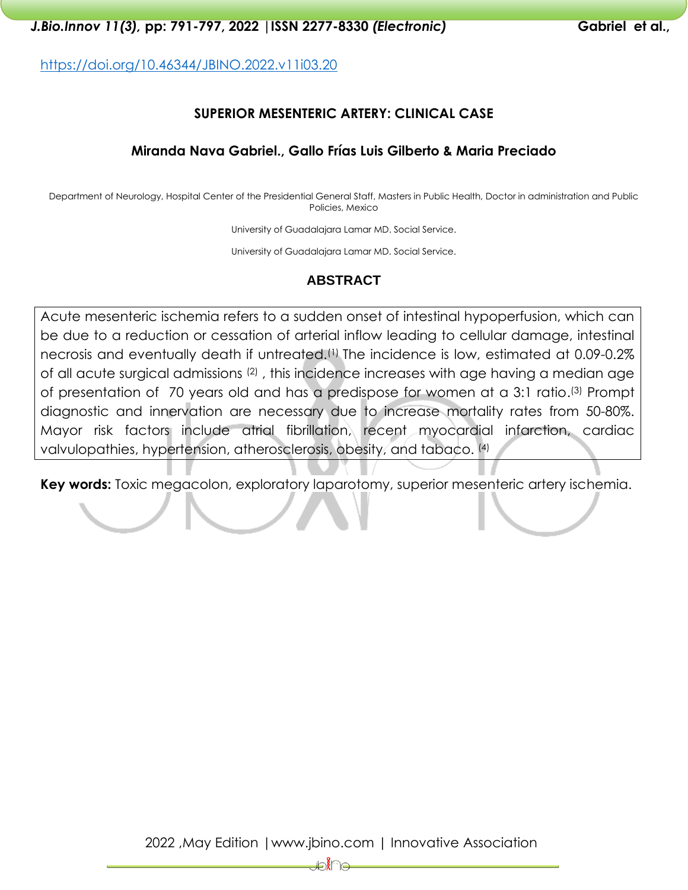<https://doi.org/10.46344/JBINO.2022.v11i03.20>

# **SUPERIOR MESENTERIC ARTERY: CLINICAL CASE**

## **Miranda Nava Gabriel., Gallo Frías Luis Gilberto & Maria Preciado**

Department of Neurology, Hospital Center of the Presidential General Staff, Masters in Public Health, Doctor in administration and Public Policies, Mexico

University of Guadalajara Lamar MD. Social Service.

University of Guadalajara Lamar MD. Social Service.

# **ABSTRACT**

Acute mesenteric ischemia refers to a sudden onset of intestinal hypoperfusion, which can be due to a reduction or cessation of arterial inflow leading to cellular damage, intestinal necrosis and eventually death if untreated.(1) The incidence is low, estimated at 0.09-0.2% of all acute surgical admissions (2) , this incidence increases with age having a median age of presentation of 70 years old and has a predispose for women at a 3:1 ratio. (3) Prompt diagnostic and innervation are necessary due to increase mortality rates from 50-80%. Mayor risk factors include atrial fibrillation, recent myocardial infarction, cardiac valvulopathies, hypertension, atherosclerosis, obesity, and tabaco. (4)

**Key words:** Toxic megacolon, exploratory laparotomy, superior mesenteric artery ischemia.

₩€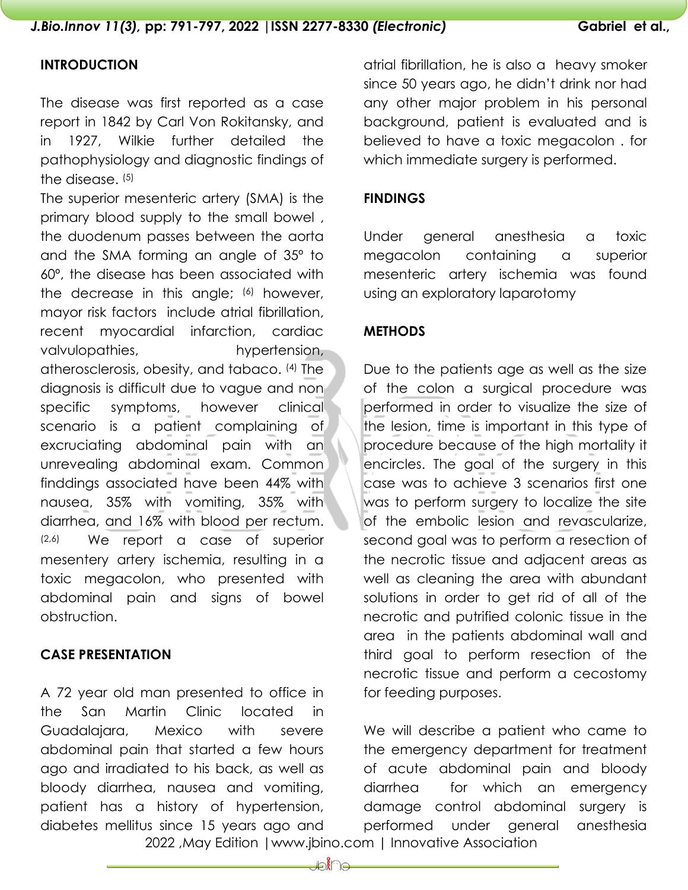# **INTRODUCTION**

The disease was first reported as a case report in 1842 by Carl Von Rokitansky, and in 1927, Wilkie further detailed the pathophysiology and diagnostic findings of the disease. (5)

The superior mesenteric artery (SMA) is the primary blood supply to the small bowel , the duodenum passes between the aorta and the SMA forming an angle of 35º to 60º, the disease has been associated with the decrease in this angle; (6) however, mayor risk factors include atrial fibrillation, recent myocardial infarction, cardiac valvulopathies, hypertension, atherosclerosis, obesity, and tabaco. (4) The diagnosis is difficult due to vague and non specific symptoms, however clinical scenario is a patient complaining of excruciating abdominal pain with an unrevealing abdominal exam. Common finddings associated have been 44% with nausea, 35% with vomiting, 35% with diarrhea, and 16% with blood per rectum. (2,6) We report a case of superior mesentery artery ischemia, resulting in a toxic megacolon, who presented with abdominal pain and signs of bowel obstruction.

## **CASE PRESENTATION**

A 72 year old man presented to office in the San Martin Clinic located in Guadalajara, Mexico with severe abdominal pain that started a few hours ago and irradiated to his back, as well as bloody diarrhea, nausea and vomiting, patient has a history of hypertension, diabetes mellitus since 15 years ago and

atrial fibrillation, he is also a heavy smoker since 50 years ago, he didn't drink nor had any other major problem in his personal background, patient is evaluated and is believed to have a toxic megacolon . for which immediate surgery is performed.

## **FINDINGS**

Under general anesthesia a toxic megacolon containing a superior mesenteric artery ischemia was found using an exploratory laparotomy

## **METHODS**

Due to the patients age as well as the size of the colon a surgical procedure was performed in order to visualize the size of the lesion, time is important in this type of procedure because of the high mortality it encircles. The goal of the surgery in this case was to achieve 3 scenarios first one was to perform surgery to localize the site of the embolic lesion and revascularize, second goal was to perform a resection of the necrotic tissue and adjacent areas as well as cleaning the area with abundant solutions in order to get rid of all of the necrotic and putrified colonic tissue in the area in the patients abdominal wall and third goal to perform resection of the necrotic tissue and perform a cecostomy for feeding purposes.

 2022 ,May Edition |www.jbino.com | Innovative Association We will describe a patient who came to the emergency department for treatment of acute abdominal pain and bloody diarrhea for which an emergency damage control abdominal surgery is performed under general anesthesia

**HOXA**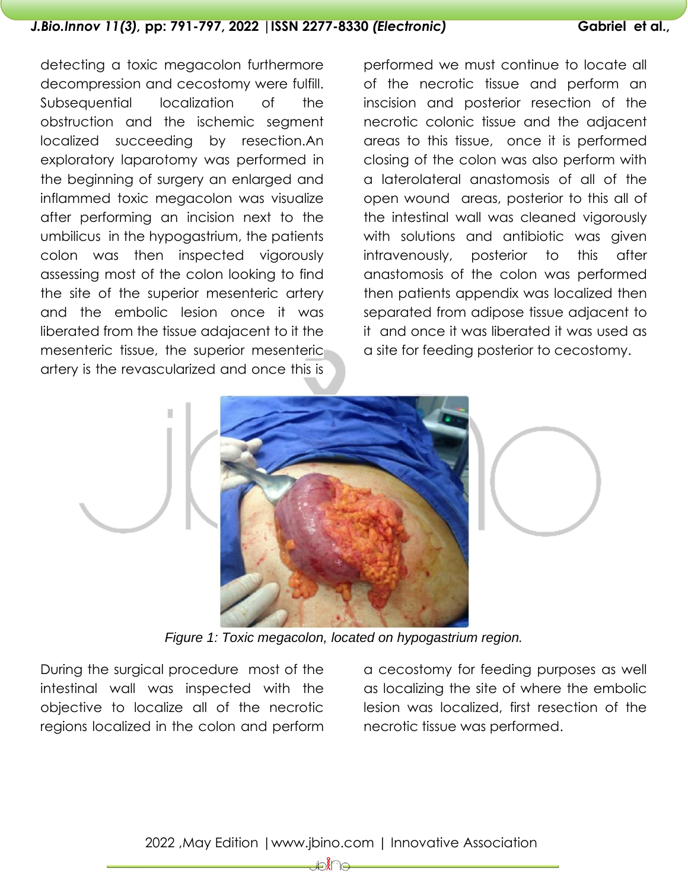detecting a toxic megacolon furthermore decompression and cecostomy were fulfill. Subsequential localization of the obstruction and the ischemic segment localized succeeding by resection.An exploratory laparotomy was performed in the beginning of surgery an enlarged and inflammed toxic megacolon was visualize after performing an incision next to the umbilicus in the hypogastrium, the patients colon was then inspected vigorously assessing most of the colon looking to find the site of the superior mesenteric artery and the embolic lesion once it was liberated from the tissue adajacent to it the mesenteric tissue, the superior mesenteric artery is the revascularized and once this is

performed we must continue to locate all of the necrotic tissue and perform an inscision and posterior resection of the necrotic colonic tissue and the adjacent areas to this tissue, once it is performed closing of the colon was also perform with a laterolateral anastomosis of all of the open wound areas, posterior to this all of the intestinal wall was cleaned vigorously with solutions and antibiotic was given intravenously, posterior to this after anastomosis of the colon was performed then patients appendix was localized then separated from adipose tissue adjacent to it and once it was liberated it was used as a site for feeding posterior to cecostomy.



*Figure 1: Toxic megacolon, located on hypogastrium region.*

During the surgical procedure most of the intestinal wall was inspected with the objective to localize all of the necrotic regions localized in the colon and perform a cecostomy for feeding purposes as well as localizing the site of where the embolic lesion was localized, first resection of the necrotic tissue was performed.

₩₩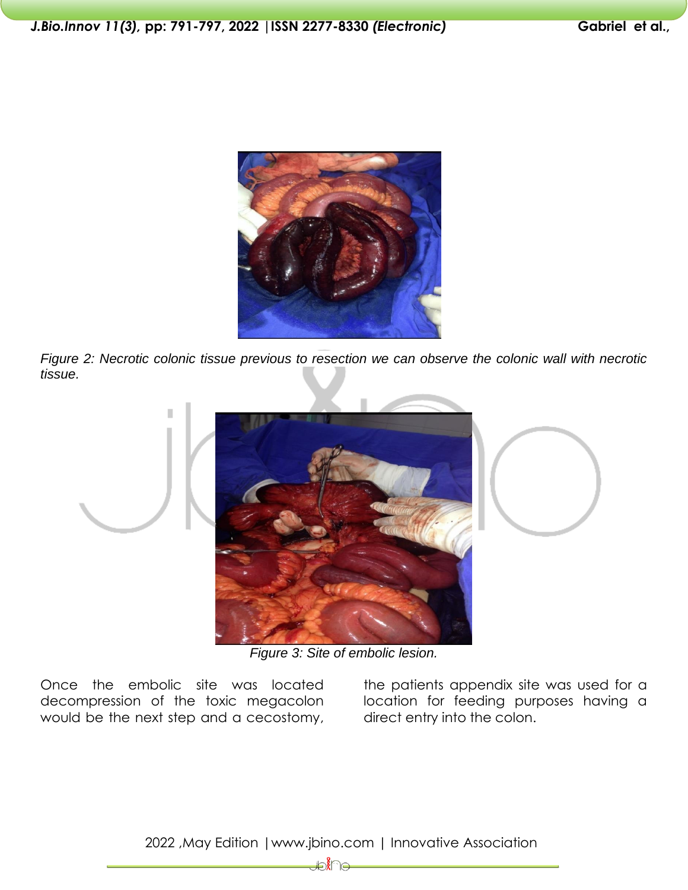

*Figure 2: Necrotic colonic tissue previous to resection we can observe the colonic wall with necrotic tissue.* 



*Figure 3: Site of embolic lesion.*

Once the embolic site was located decompression of the toxic megacolon would be the next step and a cecostomy, the patients appendix site was used for a location for feeding purposes having a direct entry into the colon.

2022 ,May Edition |www.jbino.com | Innovative Association

D.<br>€∩ ke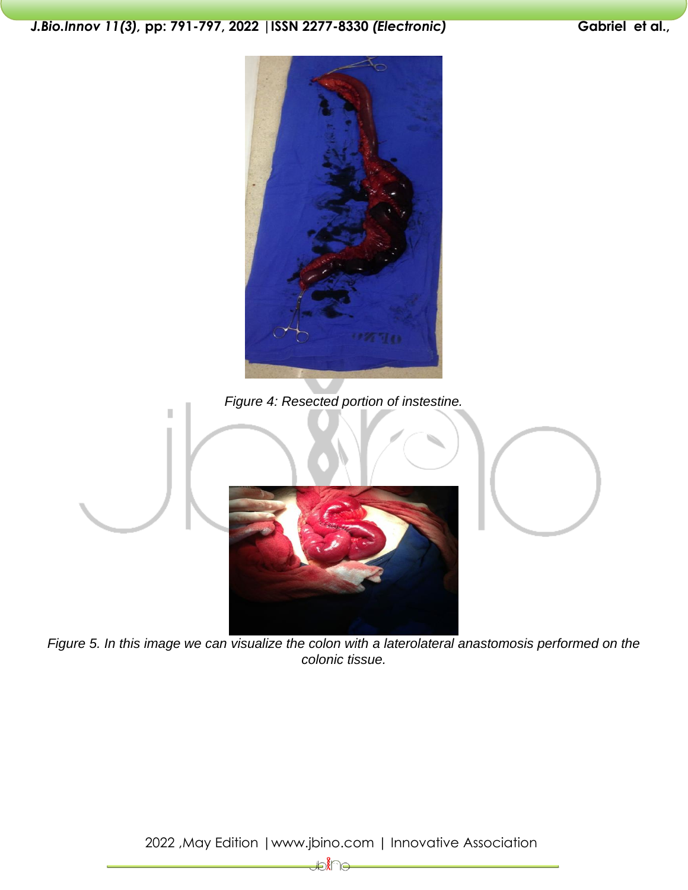

*Figure 5. In this image we can visualize the colon with a laterolateral anastomosis performed on the colonic tissue.*

2022 ,May Edition |www.jbino.com | Innovative Association

– ∕ है∕ स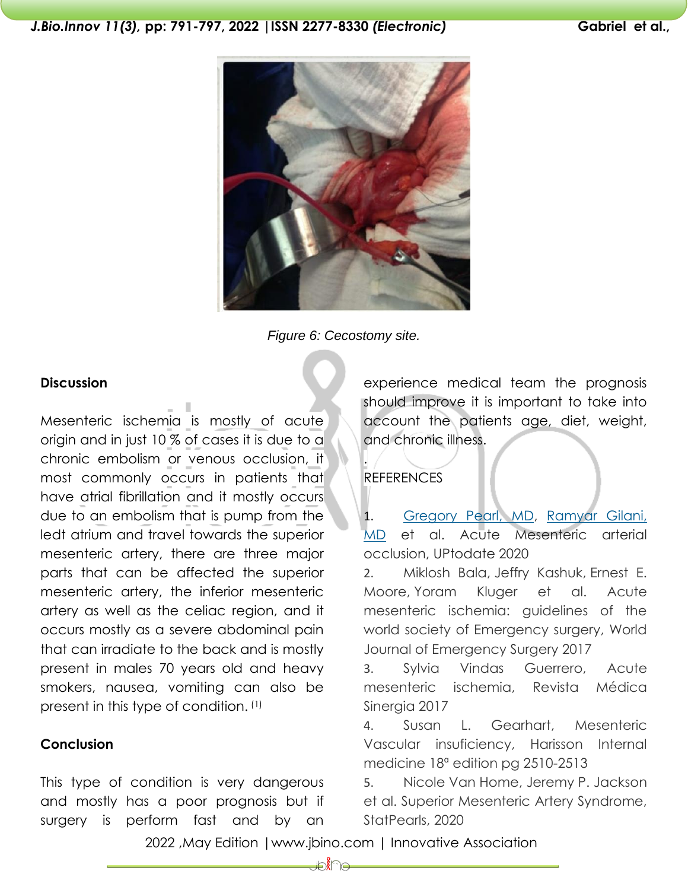



### **Discussion**

Mesenteric ischemia is mostly of acute origin and in just 10 % of cases it is due to a chronic embolism or venous occlusion, it most commonly occurs in patients that have atrial fibrillation and it mostly occurs due to an embolism that is pump from the ledt atrium and travel towards the superior mesenteric artery, there are three major parts that can be affected the superior mesenteric artery, the inferior mesenteric artery as well as the celiac region, and it occurs mostly as a severe abdominal pain that can irradiate to the back and is mostly present in males 70 years old and heavy smokers, nausea, vomiting can also be present in this type of condition. (1)

### **Conclusion**

This type of condition is very dangerous and mostly has a poor prognosis but if surgery is perform fast and by an

experience medical team the prognosis should improve it is important to take into account the patients age, diet, weight, and chronic illness.

## **REFERENCES**

.

1. [Gregory Pearl, MD,](https://www.uptodate.com/contents/acute-mesenteric-arterial-occlusion/contributors) [Ramyar Gilani,](https://www.uptodate.com/contents/acute-mesenteric-arterial-occlusion/contributors)  [MD](https://www.uptodate.com/contents/acute-mesenteric-arterial-occlusion/contributors) et al. Acute Mesenteric arterial occlusion, UPtodate 2020

2. Miklosh Bala, Jeffry Kashuk, Ernest E. Moore, Yoram Kluger et al. Acute mesenteric ischemia: guidelines of the world society of Emergency surgery, World Journal of Emergency Surgery 2017

3. Sylvia Vindas Guerrero, Acute mesenteric ischemia, Revista Médica Sinergia 2017

4. Susan L. Gearhart, Mesenteric Vascular insuficiency, Harisson Internal medicine 18ª edition pg 2510-2513

5. Nicole Van Home, Jeremy P. Jackson et al. Superior Mesenteric Artery Syndrome, StatPearls, 2020

2022 ,May Edition |www.jbino.com | Innovative Association